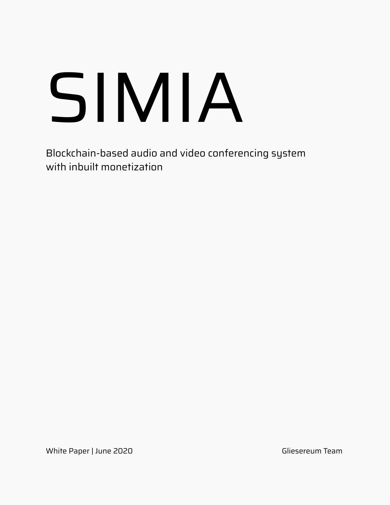# [SIMIA](https://simia.io)

Blockchain-based audio and video conferencing system with inbuilt monetization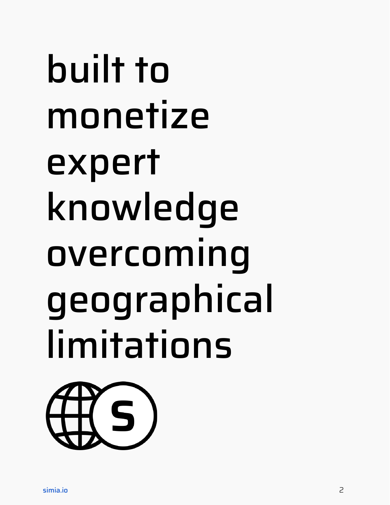## built to monetize expert knowledge overcoming geographical limitations

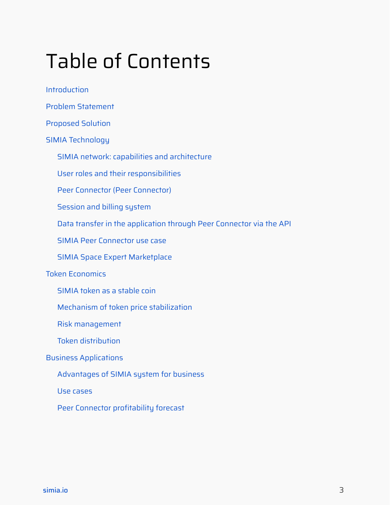## Table of Contents

[Introduction](#page-3-0)

Problem [Statement](#page-4-0)

[Proposed](#page-5-0) Solution

SIMIA [Technology](#page-6-0)

SIMIA network: capabilities and [architecture](#page-6-1)

User roles and their [responsibilities](#page-9-0)

Peer Connector (Peer [Connector\)](#page-10-0)

[Session](#page-12-0) and billing system

Data transfer in the [application](#page-14-0) through Peer Connector via the API

SIMIA Peer [Connector](#page-15-0) use case

SIMIA Space Expert [Marketplace](#page-16-0)

#### Token [Economics](#page-18-0)

SIMIA token as a [stable](#page-18-1) coin

Mechanism of token price [stabilization](#page-19-0)

Risk [management](#page-20-0)

Token [distribution](#page-20-1)

#### Business [Applications](#page-22-0)

[Advantages](#page-22-1) of SIMIA system for business

Use [cases](#page-23-0)

Peer Connector [profitability](#page-24-0) forecast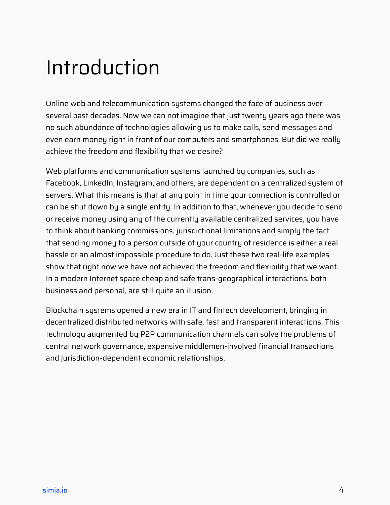## <span id="page-3-0"></span>Introduction

Online web and telecommunication systems changed the face of business over several past decades. Now we can not imagine that just twenty years ago there was no such abundance of technologies allowing us to make calls, send messages and even earn money right in front of our computers and smartphones. But did we really achieve the freedom and flexibility that we desire?

Web platforms and communication systems launched by companies, such as Facebook, LinkedIn, Instagram, and others, are dependent on a centralized system of servers. What this means is that at any point in time your connection is controlled or can be shut down by a single entity. In addition to that, whenever you decide to send or receive money using any of the currently available centralized services, you have to think about banking commissions, jurisdictional limitations and simply the fact that sending money to a person outside of your country of residence is either a real hassle or an almost impossible procedure to do. Just these two real-life examples show that right now we have not achieved the freedom and flexibility that we want. In a modern Internet space cheap and safe trans-geographical interactions, both business and personal, are still quite an illusion.

Blockchain systems opened a new era in IT and fintech development, bringing in decentralized distributed networks with safe, fast and transparent interactions. This technology augmented by P2P communication channels can solve the problems of central network governance, expensive middlemen-involved financial transactions and jurisdiction-dependent economic relationships.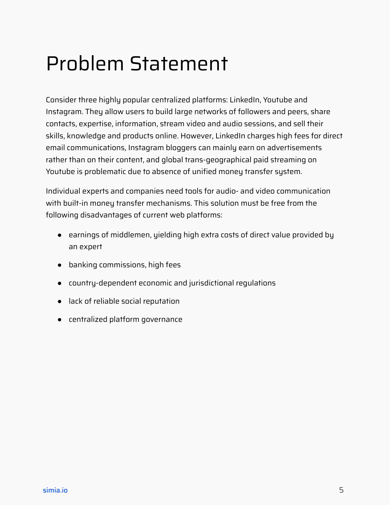## <span id="page-4-0"></span>Problem Statement

Consider three highly popular centralized platforms: LinkedIn, Youtube and Instagram. They allow users to build large networks of followers and peers, share contacts, expertise, information, stream video and audio sessions, and sell their skills, knowledge and products online. However, LinkedIn charges high fees for direct email communications, Instagram bloggers can mainly earn on advertisements rather than on their content, and global trans-geographical paid streaming on Youtube is problematic due to absence of unified money transfer system.

Individual experts and companies need tools for audio- and video communication with built-in money transfer mechanisms. This solution must be free from the following disadvantages of current web platforms:

- earnings of middlemen, yielding high extra costs of direct value provided by an expert
- banking commissions, high fees
- country-dependent economic and jurisdictional regulations
- lack of reliable social reputation
- centralized platform governance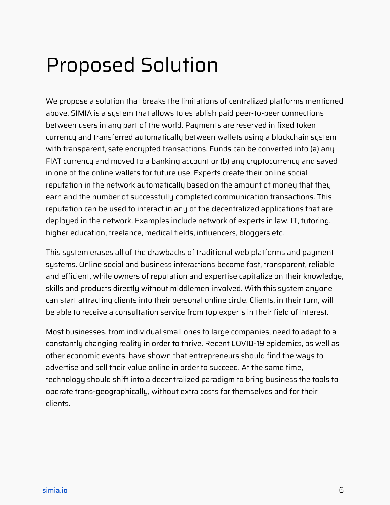## <span id="page-5-0"></span>Proposed Solution

We propose a solution that breaks the limitations of centralized platforms mentioned above. SIMIA is a system that allows to establish paid peer-to-peer connections between users in any part of the world. Payments are reserved in fixed token currency and transferred automatically between wallets using a blockchain system with transparent, safe encrypted transactions. Funds can be converted into (a) any FIAT currency and moved to a banking account or (b) any cryptocurrency and saved in one of the online wallets for future use. Experts create their online social reputation in the network automatically based on the amount of money that they earn and the number of successfully completed communication transactions. This reputation can be used to interact in any of the decentralized applications that are deployed in the network. Examples include network of experts in law, IT, tutoring, higher education, freelance, medical fields, influencers, bloggers etc.

This system erases all of the drawbacks of traditional web platforms and payment systems. Online social and business interactions become fast, transparent, reliable and efficient, while owners of reputation and expertise capitalize on their knowledge, skills and products directly without middlemen involved. With this system anyone can start attracting clients into their personal online circle. Clients, in their turn, will be able to receive a consultation service from top experts in their field of interest.

Most businesses, from individual small ones to large companies, need to adapt to a constantly changing reality in order to thrive. Recent COVID-19 epidemics, as well as other economic events, have shown that entrepreneurs should find the ways to advertise and sell their value online in order to succeed. At the same time, technology should shift into a decentralized paradigm to bring business the tools to operate trans-geographically, without extra costs for themselves and for their clients.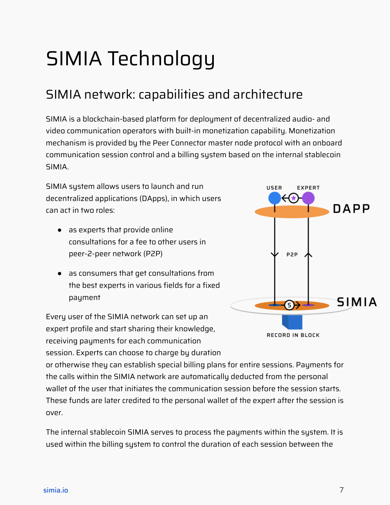## <span id="page-6-0"></span>SIMIA Technology

## <span id="page-6-1"></span>SIMIA network: capabilities and architecture

SIMIA is a blockchain-based platform for deployment of decentralized audio- and video communication operators with built-in monetization capability. Monetization mechanism is provided by the Peer Connector master node protocol with an onboard communication session control and a billing system based on the internal stablecoin SIMIA.

SIMIA system allows users to launch and run decentralized applications (DApps), in which users can act in two roles:

- as experts that provide online consultations for a fee to other users in peer-2-peer network (P2P)
- as consumers that get consultations from the best experts in various fields for a fixed payment

Every user of the SIMIA network can set up an expert profile and start sharing their knowledge, receiving payments for each communication session. Experts can choose to charge by duration



or otherwise they can establish special billing plans for entire sessions. Payments for the calls within the SIMIA network are automatically deducted from the personal wallet of the user that initiates the communication session before the session starts. These funds are later credited to the personal wallet of the expert after the session is over.

The internal stablecoin SIMIA serves to process the payments within the system. It is used within the billing system to control the duration of each session between the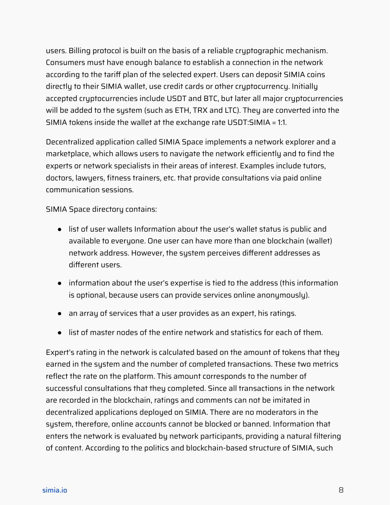users. Billing protocol is built on the basis of a reliable cryptographic mechanism. Consumers must have enough balance to establish a connection in the network according to the tariff plan of the selected expert. Users can deposit SIMIA coins directly to their SIMIA wallet, use credit cards or other cryptocurrency. Initially accepted cryptocurrencies include USDT and BTC, but later all major cryptocurrencies will be added to the system (such as ETH, TRX and LTC). They are converted into the SIMIA tokens inside the wallet at the exchange rate USDT:SIMIA ≈ 1:1.

Decentralized application called SIMIA Space implements a network explorer and a marketplace, which allows users to navigate the network efficiently and to find the experts or network specialists in their areas of interest. Examples include tutors, doctors, lawyers, fitness trainers, etc. that provide consultations via paid online communication sessions.

SIMIA Space directory contains:

- list of user wallets Information about the user's wallet status is public and available to everyone. One user can have more than one blockchain (wallet) network address. However, the system perceives different addresses as different users.
- information about the user's expertise is tied to the address (this information is optional, because users can provide services online anonymously).
- an array of services that a user provides as an expert, his ratings.
- list of master nodes of the entire network and statistics for each of them.

Expert's rating in the network is calculated based on the amount of tokens that they earned in the system and the number of completed transactions. These two metrics reflect the rate on the platform. This amount corresponds to the number of successful consultations that they completed. Since all transactions in the network are recorded in the blockchain, ratings and comments can not be imitated in decentralized applications deployed on SIMIA. There are no moderators in the system, therefore, online accounts cannot be blocked or banned. Information that enters the network is evaluated by network participants, providing a natural filtering of content. According to the politics and blockchain-based structure of SIMIA, such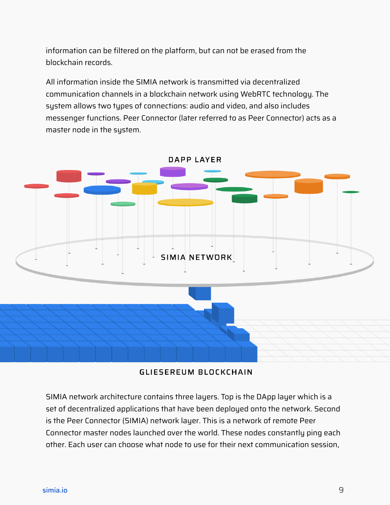information can be filtered on the platform, but can not be erased from the blockchain records.

All information inside the SIMIA network is transmitted via decentralized communication channels in a blockchain network using WebRTC technology. The system allows two types of connections: audio and video, and also includes messenger functions. Peer Connector (later referred to as Peer Connector) acts as a master node in the system.



#### GLIESEREUM BLOCKCHAIN

SIMIA network architecture contains three layers. Top is the DApp layer which is a set of decentralized applications that have been deployed onto the network. Second is the Peer Connector (SIMIA) network layer. This is a network of remote Peer Connector master nodes launched over the world. These nodes constantly ping each other. Each user can choose what node to use for their next communication session,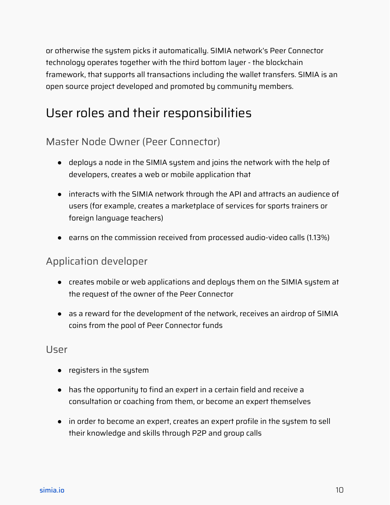or otherwise the system picks it automatically. SIMIA network's Peer Connector technology operates together with the third bottom layer - the blockchain framework, that supports all transactions including the wallet transfers. SIMIA is an open source project developed and promoted by community members.

## <span id="page-9-0"></span>User roles and their responsibilities

#### Master Node Owner (Peer Connector)

- deploys a node in the SIMIA system and joins the network with the help of developers, creates a web or mobile application that
- interacts with the SIMIA network through the API and attracts an audience of users (for example, creates a marketplace of services for sports trainers or foreign language teachers)
- earns on the commission received from processed audio-video calls (1.13%)

#### Application developer

- creates mobile or web applications and deploys them on the SIMIA system at the request of the owner of the Peer Connector
- as a reward for the development of the network, receives an airdrop of SIMIA coins from the pool of Peer Connector funds

#### User

- registers in the system
- has the opportunity to find an expert in a certain field and receive a consultation or coaching from them, or become an expert themselves
- in order to become an expert, creates an expert profile in the system to sell their knowledge and skills through P2P and group calls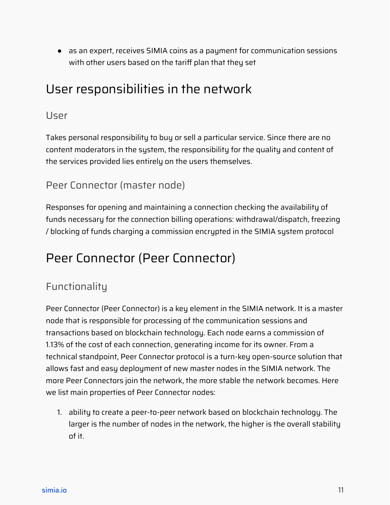● as an expert, receives SIMIA coins as a payment for communication sessions with other users based on the tariff plan that they set

## User responsibilities in the network

#### User

Takes personal responsibility to buy or sell a particular service. Since there are no content moderators in the system, the responsibility for the quality and content of the services provided lies entirely on the users themselves.

#### Peer Connector (master node)

Responses for opening and maintaining a connection checking the availability of funds necessary for the connection billing operations: withdrawal/dispatch, freezing / blocking of funds charging a commission encrypted in the SIMIA system protocol

#### <span id="page-10-0"></span>Peer Connector (Peer Connector)

#### Functionality

Peer Connector (Peer Connector) is a key element in the SIMIA network. It is a master node that is responsible for processing of the communication sessions and transactions based on blockchain technology. Each node earns a commission of 1.13% of the cost of each connection, generating income for its owner. From a technical standpoint, Peer Connector protocol is a turn-key open-source solution that allows fast and easy deployment of new master nodes in the SIMIA network. The more Peer Connectors join the network, the more stable the network becomes. Here we list main properties of Peer Connector nodes:

1. ability to create a peer-to-peer network based on blockchain technology. The larger is the number of nodes in the network, the higher is the overall stability of it.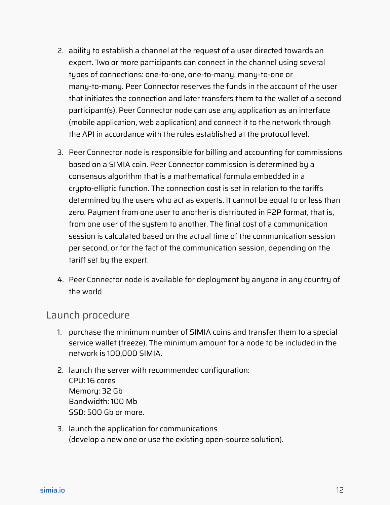- 2. ability to establish a channel at the request of a user directed towards an expert. Two or more participants can connect in the channel using several types of connections: one-to-one, one-to-many, many-to-one or many-to-many. Peer Connector reserves the funds in the account of the user that initiates the connection and later transfers them to the wallet of a second participant(s). Peer Connector node can use any application as an interface (mobile application, web application) and connect it to the network through the API in accordance with the rules established at the protocol level.
- 3. Peer Connector node is responsible for billing and accounting for commissions based on a SIMIA coin. Peer Connector commission is determined by a consensus algorithm that is a mathematical formula embedded in a crypto-elliptic function. The connection cost is set in relation to the tariffs determined by the users who act as experts. It cannot be equal to or less than zero. Payment from one user to another is distributed in P2P format, that is, from one user of the system to another. The final cost of a communication session is calculated based on the actual time of the communication session per second, or for the fact of the communication session, depending on the tariff set by the expert.
- 4. Peer Connector node is available for deployment by anyone in any country of the world

#### Launch procedure

- 1. purchase the minimum number of SIMIA coins and transfer them to a special service wallet (freeze). The minimum amount for a node to be included in the network is 100,000 SIMIA.
- 2. launch the server with recommended configuration: CPU: 16 cores Memory: 32 Gb Bandwidth: 100 Mb SSD: 500 Gb or more.
- 3. launch the application for communications (develop a new one or use the existing open-source solution).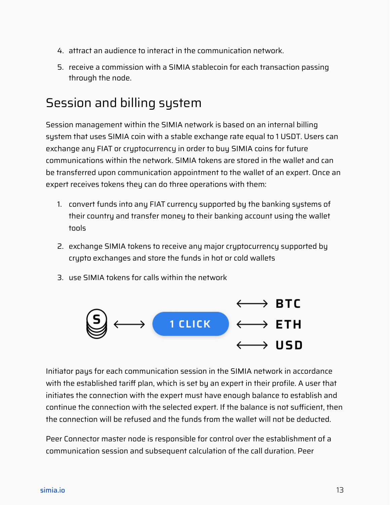- 4. attract an audience to interact in the communication network.
- 5. receive a commission with a SIMIA stablecoin for each transaction passing through the node.

## <span id="page-12-0"></span>Session and billing system

Session management within the SIMIA network is based on an internal billing system that uses SIMIA coin with a stable exchange rate equal to 1 USDT. Users can exchange any FIAT or cryptocurrency in order to buy SIMIA coins for future communications within the network. SIMIA tokens are stored in the wallet and can be transferred upon communication appointment to the wallet of an expert. Once an expert receives tokens they can do three operations with them:

- 1. convert funds into any FIAT currency supported by the banking systems of their country and transfer money to their banking account using the wallet tools
- 2. exchange SIMIA tokens to receive any major cryptocurrency supported by crypto exchanges and store the funds in hot or cold wallets
- 3. use SIMIA tokens for calls within the network



Initiator pays for each communication session in the SIMIA network in accordance with the established tariff plan, which is set by an expert in their profile. A user that initiates the connection with the expert must have enough balance to establish and continue the connection with the selected expert. If the balance is not sufficient, then the connection will be refused and the funds from the wallet will not be deducted.

Peer Connector master node is responsible for control over the establishment of a communication session and subsequent calculation of the call duration. Peer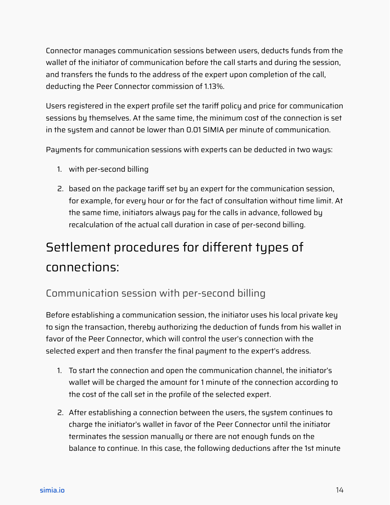Connector manages communication sessions between users, deducts funds from the wallet of the initiator of communication before the call starts and during the session, and transfers the funds to the address of the expert upon completion of the call, deducting the Peer Connector commission of 1.13%.

Users registered in the expert profile set the tariff policy and price for communication sessions by themselves. At the same time, the minimum cost of the connection is set in the system and cannot be lower than 0.01 SIMIA per minute of communication.

Payments for communication sessions with experts can be deducted in two ways:

- 1. with per-second billing
- 2. based on the package tariff set by an expert for the communication session, for example, for every hour or for the fact of consultation without time limit. At the same time, initiators always pay for the calls in advance, followed by recalculation of the actual call duration in case of per-second billing.

## Settlement procedures for different types of connections:

#### Communication session with per-second billing

Before establishing a communication session, the initiator uses his local private key to sign the transaction, thereby authorizing the deduction of funds from his wallet in favor of the Peer Connector, which will control the user's connection with the selected expert and then transfer the final payment to the expert's address.

- 1. To start the connection and open the communication channel, the initiator's wallet will be charged the amount for 1 minute of the connection according to the cost of the call set in the profile of the selected expert.
- 2. After establishing a connection between the users, the system continues to charge the initiator's wallet in favor of the Peer Connector until the initiator terminates the session manually or there are not enough funds on the balance to continue. In this case, the following deductions after the 1st minute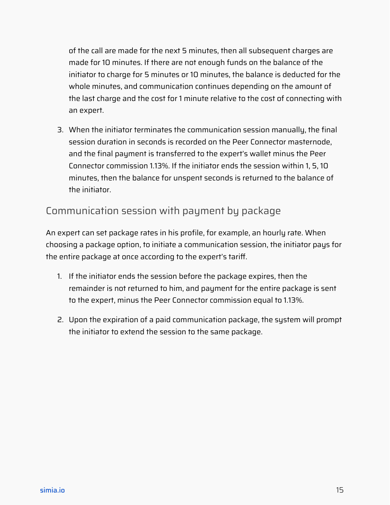of the call are made for the next 5 minutes, then all subsequent charges are made for 10 minutes. If there are not enough funds on the balance of the initiator to charge for 5 minutes or 10 minutes, the balance is deducted for the whole minutes, and communication continues depending on the amount of the last charge and the cost for 1 minute relative to the cost of connecting with an expert.

3. When the initiator terminates the communication session manually, the final session duration in seconds is recorded on the Peer Connector masternode, and the final payment is transferred to the expert's wallet minus the Peer Connector commission 1.13%. If the initiator ends the session within 1, 5, 10 minutes, then the balance for unspent seconds is returned to the balance of the initiator.

#### Communication session with payment by package

An expert can set package rates in his profile, for example, an hourly rate. When choosing a package option, to initiate a communication session, the initiator pays for the entire package at once according to the expert's tariff.

- 1. If the initiator ends the session before the package expires, then the remainder is not returned to him, and payment for the entire package is sent to the expert, minus the Peer Connector commission equal to 1.13%.
- <span id="page-14-0"></span>2. Upon the expiration of a paid communication package, the system will prompt the initiator to extend the session to the same package.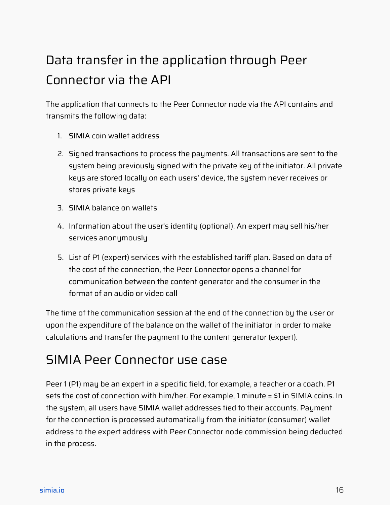## Data transfer in the application through Peer Connector via the API

The application that connects to the Peer Connector node via the API contains and transmits the following data:

- 1. SIMIA coin wallet address
- 2. Signed transactions to process the payments. All transactions are sent to the system being previously signed with the private key of the initiator. All private keys are stored locally on each users' device, the system never receives or stores private keys
- 3. SIMIA balance on wallets
- 4. Information about the user's identity (optional). An expert may sell his/her services anonymously
- 5. List of P1 (expert) services with the established tariff plan. Based on data of the cost of the connection, the Peer Connector opens a channel for communication between the content generator and the consumer in the format of an audio or video call

The time of the communication session at the end of the connection by the user or upon the expenditure of the balance on the wallet of the initiator in order to make calculations and transfer the payment to the content generator (expert).

#### <span id="page-15-0"></span>SIMIA Peer Connector use case

Peer 1 (P1) may be an expert in a specific field, for example, a teacher or a coach. P1 sets the cost of connection with him/her. For example, 1 minute = \$1 in SIMIA coins. In the system, all users have SIMIA wallet addresses tied to their accounts. Payment for the connection is processed automatically from the initiator (consumer) wallet address to the expert address with Peer Connector node commission being deducted in the process.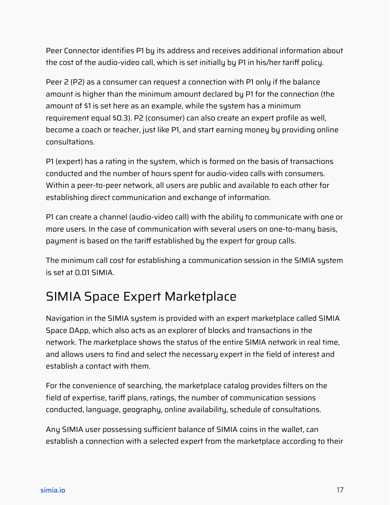Peer Connector identifies P1 by its address and receives additional information about the cost of the audio-video call, which is set initially by P1 in his/her tariff policy.

Peer 2 (P2) as a consumer can request a connection with P1 only if the balance amount is higher than the minimum amount declared by P1 for the connection (the amount of \$1 is set here as an example, while the system has a minimum requirement equal \$0.3). P2 (consumer) can also create an expert profile as well, become a coach or teacher, just like P1, and start earning money by providing online consultations.

P1 (expert) has a rating in the system, which is formed on the basis of transactions conducted and the number of hours spent for audio-video calls with consumers. Within a peer-to-peer network, all users are public and available to each other for establishing direct communication and exchange of information.

P1 can create a channel (audio-video call) with the ability to communicate with one or more users. In the case of communication with several users on one-to-many basis, payment is based on the tariff established by the expert for group calls.

The minimum call cost for establishing a communication session in the SIMIA system is set at 0.01 SIMIA.

## <span id="page-16-0"></span>SIMIA Space Expert Marketplace

Navigation in the SIMIA system is provided with an expert marketplace called SIMIA Space DApp, which also acts as an explorer of blocks and transactions in the network. The marketplace shows the status of the entire SIMIA network in real time, and allows users to find and select the necessary expert in the field of interest and establish a contact with them.

For the convenience of searching, the marketplace catalog provides filters on the field of expertise, tariff plans, ratings, the number of communication sessions conducted, language, geography, online availability, schedule of consultations.

Any SIMIA user possessing sufficient balance of SIMIA coins in the wallet, can establish a connection with a selected expert from the marketplace according to their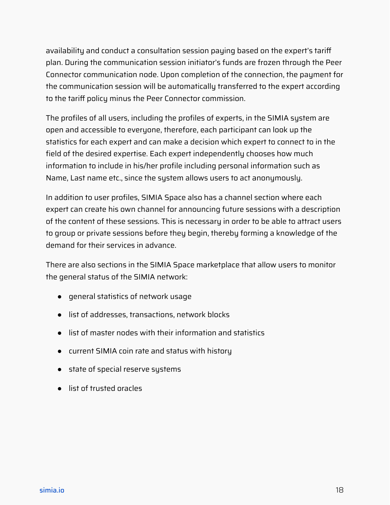availability and conduct a consultation session paying based on the expert's tariff plan. During the communication session initiator's funds are frozen through the Peer Connector communication node. Upon completion of the connection, the payment for the communication session will be automatically transferred to the expert according to the tariff policy minus the Peer Connector commission.

The profiles of all users, including the profiles of experts, in the SIMIA system are open and accessible to everyone, therefore, each participant can look up the statistics for each expert and can make a decision which expert to connect to in the field of the desired expertise. Each expert independently chooses how much information to include in his/her profile including personal information such as Name, Last name etc., since the system allows users to act anonymously.

In addition to user profiles, SIMIA Space also has a channel section where each expert can create his own channel for announcing future sessions with a description of the content of these sessions. This is necessary in order to be able to attract users to group or private sessions before they begin, thereby forming a knowledge of the demand for their services in advance.

There are also sections in the SIMIA Space marketplace that allow users to monitor the general status of the SIMIA network:

- general statistics of network usage
- list of addresses, transactions, network blocks
- list of master nodes with their information and statistics
- current SIMIA coin rate and status with history
- state of special reserve systems
- list of trusted oracles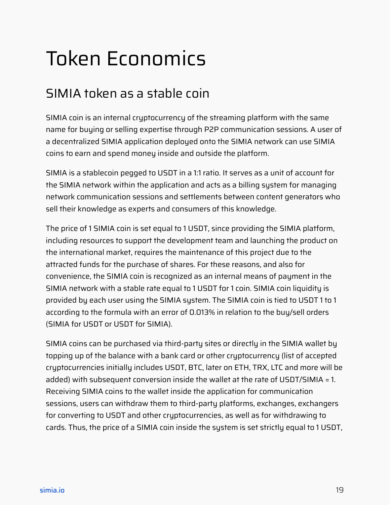## <span id="page-18-0"></span>Token Economics

## <span id="page-18-1"></span>SIMIA token as a stable coin

SIMIA coin is an internal cryptocurrency of the streaming platform with the same name for buying or selling expertise through P2P communication sessions. A user of a decentralized SIMIA application deployed onto the SIMIA network can use SIMIA coins to earn and spend money inside and outside the platform.

SIMIA is a stablecoin pegged to USDT in a 1:1 ratio. It serves as a unit of account for the SIMIA network within the application and acts as a billing system for managing network communication sessions and settlements between content generators who sell their knowledge as experts and consumers of this knowledge.

The price of 1 SIMIA coin is set equal to 1 USDT, since providing the SIMIA platform, including resources to support the development team and launching the product on the international market, requires the maintenance of this project due to the attracted funds for the purchase of shares. For these reasons, and also for convenience, the SIMIA coin is recognized as an internal means of payment in the SIMIA network with a stable rate equal to 1 USDT for 1 coin. SIMIA coin liquidity is provided by each user using the SIMIA system. The SIMIA coin is tied to USDT 1 to 1 according to the formula with an error of 0.013% in relation to the buy/sell orders (SIMIA for USDT or USDT for SIMIA).

SIMIA coins can be purchased via third-party sites or directly in the SIMIA wallet by topping up of the balance with a bank card or other cryptocurrency (list of accepted cryptocurrencies initially includes USDT, BTC, later on ETH, TRX, LTC and more will be added) with subsequent conversion inside the wallet at the rate of USDT/SIMIA = 1. Receiving SIMIA coins to the wallet inside the application for communication sessions, users can withdraw them to third-party platforms, exchanges, exchangers for converting to USDT and other cryptocurrencies, as well as for withdrawing to cards. Thus, the price of a SIMIA coin inside the system is set strictly equal to 1 USDT,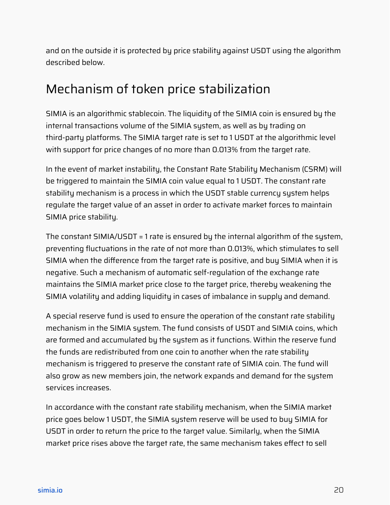and on the outside it is protected by price stability against USDT using the algorithm described below.

## <span id="page-19-0"></span>Mechanism of token price stabilization

SIMIA is an algorithmic stablecoin. The liquidity of the SIMIA coin is ensured by the internal transactions volume of the SIMIA system, as well as by trading on third-party platforms. The SIMIA target rate is set to 1 USDT at the algorithmic level with support for price changes of no more than 0.013% from the target rate.

In the event of market instability, the Constant Rate Stability Mechanism (CSRM) will be triggered to maintain the SIMIA coin value equal to 1 USDT. The constant rate stability mechanism is a process in which the USDT stable currency system helps regulate the target value of an asset in order to activate market forces to maintain SIMIA price stability.

The constant SIMIA/USDT = 1 rate is ensured by the internal algorithm of the system, preventing fluctuations in the rate of not more than 0.013%, which stimulates to sell SIMIA when the difference from the target rate is positive, and buy SIMIA when it is negative. Such a mechanism of automatic self-regulation of the exchange rate maintains the SIMIA market price close to the target price, thereby weakening the SIMIA volatility and adding liquidity in cases of imbalance in supply and demand.

A special reserve fund is used to ensure the operation of the constant rate stability mechanism in the SIMIA system. The fund consists of USDT and SIMIA coins, which are formed and accumulated by the system as it functions. Within the reserve fund the funds are redistributed from one coin to another when the rate stability mechanism is triggered to preserve the constant rate of SIMIA coin. The fund will also grow as new members join, the network expands and demand for the system services increases.

In accordance with the constant rate stability mechanism, when the SIMIA market price goes below 1 USDT, the SIMIA system reserve will be used to buy SIMIA for USDT in order to return the price to the target value. Similarly, when the SIMIA market price rises above the target rate, the same mechanism takes effect to sell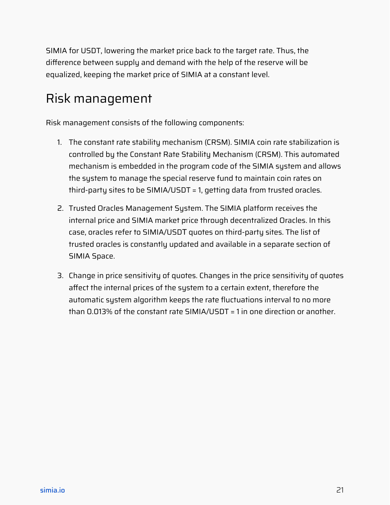SIMIA for USDT, lowering the market price back to the target rate. Thus, the difference between supply and demand with the help of the reserve will be equalized, keeping the market price of SIMIA at a constant level.

## <span id="page-20-0"></span>Risk management

Risk management consists of the following components:

- 1. The constant rate stability mechanism (CRSM). SIMIA coin rate stabilization is controlled by the Constant Rate Stability Mechanism (CRSM). This automated mechanism is embedded in the program code of the SIMIA system and allows the system to manage the special reserve fund to maintain coin rates on third-party sites to be SIMIA/USDT = 1, getting data from trusted oracles.
- 2. Trusted Oracles Management System. The SIMIA platform receives the internal price and SIMIA market price through decentralized Oracles. In this case, oracles refer to SIMIA/USDТ quotes on third-party sites. The list of trusted oracles is constantly updated and available in a separate section of SIMIA Space.
- <span id="page-20-1"></span>3. Change in price sensitivity of quotes. Changes in the price sensitivity of quotes affect the internal prices of the system to a certain extent, therefore the automatic system algorithm keeps the rate fluctuations interval to no more than 0.013% of the constant rate SIMIA/USDT = 1 in one direction or another.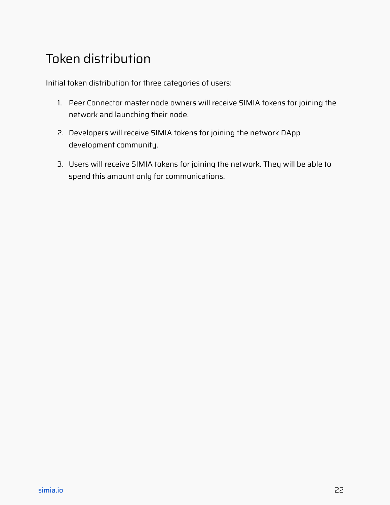## Token distribution

Initial token distribution for three categories of users:

- 1. Peer Connector master node owners will receive SIMIA tokens for joining the network and launching their node.
- 2. Developers will receive SIMIA tokens for joining the network DApp development community.
- 3. Users will receive SIMIA tokens for joining the network. They will be able to spend this amount only for communications.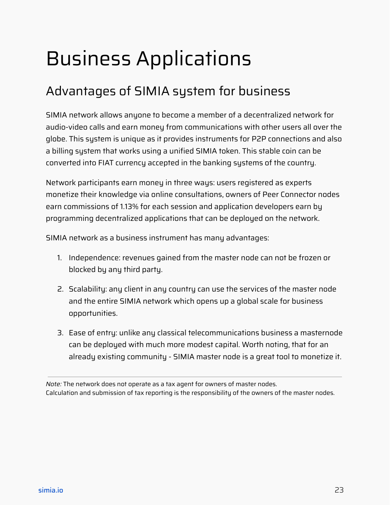## <span id="page-22-0"></span>Business Applications

## <span id="page-22-1"></span>Advantages of SIMIA system for business

SIMIA network allows anyone to become a member of a decentralized network for audio-video calls and earn money from communications with other users all over the globe. This system is unique as it provides instruments for P2P connections and also a billing system that works using a unified SIMIA token. This stable coin can be converted into FIAT currency accepted in the banking systems of the country.

Network participants earn money in three ways: users registered as experts monetize their knowledge via online consultations, owners of Peer Connector nodes earn commissions of 1.13% for each session and application developers earn by programming decentralized applications that can be deployed on the network.

SIMIA network as a business instrument has many advantages:

- 1. Independence: revenues gained from the master node can not be frozen or blocked by any third party.
- 2. Scalability: any client in any country can use the services of the master node and the entire SIMIA network which opens up a global scale for business opportunities.
- 3. Ease of entry: unlike any classical telecommunications business a masternode can be deployed with much more modest capital. Worth noting, that for an already existing community - SIMIA master node is a great tool to monetize it.

*Note:* The network does not operate as a tax agent for owners of master nodes. Calculation and submission of tax reporting is the responsibility of the owners of the master nodes.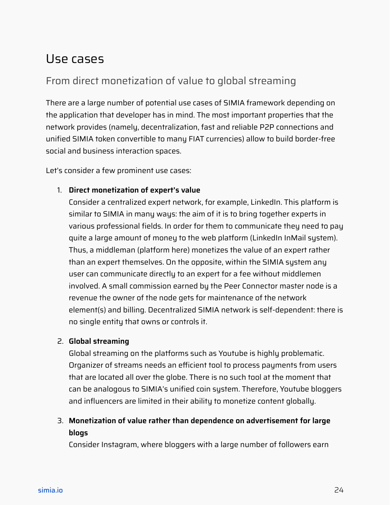#### <span id="page-23-0"></span>Use cases

#### From direct monetization of value to global streaming

There are a large number of potential use cases of SIMIA framework depending on the application that developer has in mind. The most important properties that the network provides (namely, decentralization, fast and reliable P2P connections and unified SIMIA token convertible to many FIAT currencies) allow to build border-free social and business interaction spaces.

Let's consider a few prominent use cases:

#### 1. **Direct monetization of expert's value**

Consider a centralized expert network, for example, LinkedIn. This platform is similar to SIMIA in many ways: the aim of it is to bring together experts in various professional fields. In order for them to communicate they need to pay quite a large amount of money to the web platform (LinkedIn InMail system). Thus, a middleman (platform here) monetizes the value of an expert rather than an expert themselves. On the opposite, within the SIMIA system any user can communicate directly to an expert for a fee without middlemen involved. A small commission earned by the Peer Connector master node is a revenue the owner of the node gets for maintenance of the network element(s) and billing. Decentralized SIMIA network is self-dependent: there is no single entity that owns or controls it.

#### 2. **Global streaming**

Global streaming on the platforms such as Youtube is highly problematic. Organizer of streams needs an efficient tool to process payments from users that are located all over the globe. There is no such tool at the moment that can be analogous to SIMIA's unified coin system. Therefore, Youtube bloggers and influencers are limited in their ability to monetize content globally.

#### 3. **Monetization of value rather than dependence on advertisement for large blogs**

Consider Instagram, where bloggers with a large number of followers earn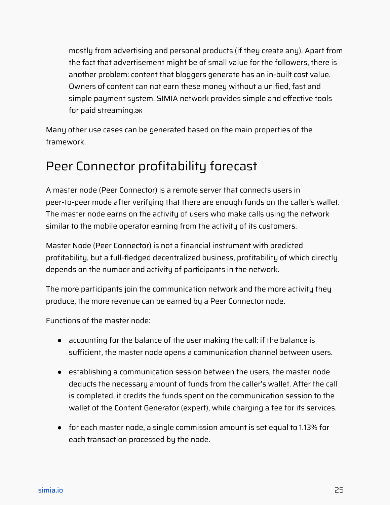mostly from advertising and personal products (if they create any). Apart from the fact that advertisement might be of small value for the followers, there is another problem: content that bloggers generate has an in-built cost value. Owners of content can not earn these money without a unified, fast and simple payment system. SIMIA network provides simple and effective tools for paid streaming.эк

Many other use cases can be generated based on the main properties of the framework.

## <span id="page-24-0"></span>Peer Connector profitability forecast

A master node (Peer Connector) is a remote server that connects users in peer-to-peer mode after verifying that there are enough funds on the caller's wallet. The master node earns on the activity of users who make calls using the network similar to the mobile operator earning from the activity of its customers.

Master Node (Peer Connector) is not a financial instrument with predicted profitability, but a full-fledged decentralized business, profitability of which directly depends on the number and activity of participants in the network.

The more participants join the communication network and the more activity they produce, the more revenue can be earned by a Peer Connector node.

Functions of the master node:

- accounting for the balance of the user making the call: if the balance is sufficient, the master node opens a communication channel between users.
- establishing a communication session between the users, the master node deducts the necessary amount of funds from the caller's wallet. After the call is completed, it credits the funds spent on the communication session to the wallet of the Content Generator (expert), while charging a fee for its services.
- for each master node, a single commission amount is set equal to 1.13% for each transaction processed by the node.